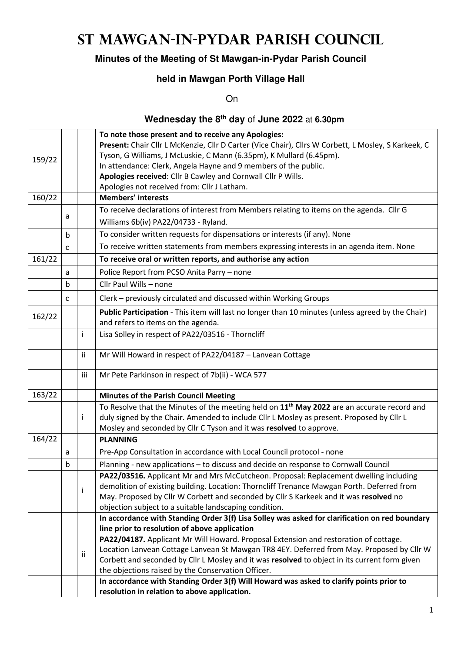# **St Mawgan-in-Pydar Parish Council**

### **Minutes of the Meeting of St Mawgan-in-Pydar Parish Council**

### **held in Mawgan Porth Village Hall**

**On** 

### **Wednesday the 8th day** of **June 2022** at **6.30pm**

|        |                                                                                                     |     | To note those present and to receive any Apologies:                                                     |  |  |
|--------|-----------------------------------------------------------------------------------------------------|-----|---------------------------------------------------------------------------------------------------------|--|--|
|        | Present: Chair Cllr L McKenzie, Cllr D Carter (Vice Chair), Cllrs W Corbett, L Mosley, S Karkeek, C |     |                                                                                                         |  |  |
| 159/22 |                                                                                                     |     | Tyson, G Williams, J McLuskie, C Mann (6.35pm), K Mullard (6.45pm).                                     |  |  |
|        |                                                                                                     |     | In attendance: Clerk, Angela Hayne and 9 members of the public.                                         |  |  |
|        |                                                                                                     |     | Apologies received: Cllr B Cawley and Cornwall Cllr P Wills.                                            |  |  |
|        |                                                                                                     |     | Apologies not received from: Cllr J Latham.                                                             |  |  |
| 160/22 |                                                                                                     |     | <b>Members' interests</b>                                                                               |  |  |
|        | a                                                                                                   |     | To receive declarations of interest from Members relating to items on the agenda. Cllr G                |  |  |
|        |                                                                                                     |     | Williams 6b(iv) PA22/04733 - Ryland.                                                                    |  |  |
|        | b                                                                                                   |     | To consider written requests for dispensations or interests (if any). None                              |  |  |
|        | C                                                                                                   |     | To receive written statements from members expressing interests in an agenda item. None                 |  |  |
| 161/22 |                                                                                                     |     | To receive oral or written reports, and authorise any action                                            |  |  |
|        | a                                                                                                   |     | Police Report from PCSO Anita Parry - none                                                              |  |  |
|        | b                                                                                                   |     | Cllr Paul Wills - none                                                                                  |  |  |
|        | c                                                                                                   |     | Clerk - previously circulated and discussed within Working Groups                                       |  |  |
|        |                                                                                                     |     | Public Participation - This item will last no longer than 10 minutes (unless agreed by the Chair)       |  |  |
| 162/22 |                                                                                                     |     | and refers to items on the agenda.                                                                      |  |  |
|        |                                                                                                     | i.  | Lisa Solley in respect of PA22/03516 - Thorncliff                                                       |  |  |
|        |                                                                                                     |     |                                                                                                         |  |  |
|        |                                                                                                     | ij. | Mr Will Howard in respect of PA22/04187 - Lanvean Cottage                                               |  |  |
|        |                                                                                                     | iii | Mr Pete Parkinson in respect of 7b(ii) - WCA 577                                                        |  |  |
| 163/22 |                                                                                                     |     | <b>Minutes of the Parish Council Meeting</b>                                                            |  |  |
|        |                                                                                                     |     | To Resolve that the Minutes of the meeting held on 11 <sup>th</sup> May 2022 are an accurate record and |  |  |
|        |                                                                                                     | Ĭ.  | duly signed by the Chair. Amended to include Cllr L Mosley as present. Proposed by Cllr L               |  |  |
|        |                                                                                                     |     | Mosley and seconded by Cllr C Tyson and it was resolved to approve.                                     |  |  |
| 164/22 |                                                                                                     |     | <b>PLANNING</b>                                                                                         |  |  |
|        | a                                                                                                   |     | Pre-App Consultation in accordance with Local Council protocol - none                                   |  |  |
|        | b                                                                                                   |     | Planning - new applications - to discuss and decide on response to Cornwall Council                     |  |  |
|        |                                                                                                     |     | PA22/03516. Applicant Mr and Mrs McCutcheon. Proposal: Replacement dwelling including                   |  |  |
|        |                                                                                                     | i.  | demolition of existing building. Location: Thorncliff Trenance Mawgan Porth. Deferred from              |  |  |
|        |                                                                                                     |     | May. Proposed by Cllr W Corbett and seconded by Cllr S Karkeek and it was resolved no                   |  |  |
|        |                                                                                                     |     | objection subject to a suitable landscaping condition.                                                  |  |  |
|        |                                                                                                     |     | In accordance with Standing Order 3(f) Lisa Solley was asked for clarification on red boundary          |  |  |
|        |                                                                                                     |     | line prior to resolution of above application                                                           |  |  |
|        |                                                                                                     |     | PA22/04187. Applicant Mr Will Howard. Proposal Extension and restoration of cottage.                    |  |  |
|        |                                                                                                     | ij. | Location Lanvean Cottage Lanvean St Mawgan TR8 4EY. Deferred from May. Proposed by Cllr W               |  |  |
|        |                                                                                                     |     | Corbett and seconded by Cllr L Mosley and it was resolved to object in its current form given           |  |  |
|        |                                                                                                     |     | the objections raised by the Conservation Officer.                                                      |  |  |
|        |                                                                                                     |     | In accordance with Standing Order 3(f) Will Howard was asked to clarify points prior to                 |  |  |
|        |                                                                                                     |     | resolution in relation to above application.                                                            |  |  |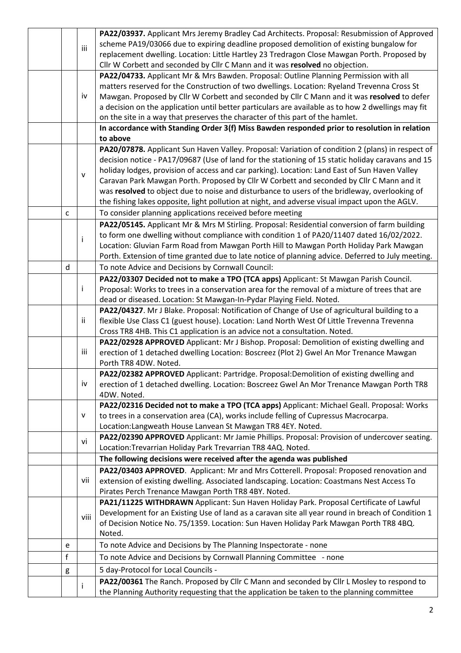|              |      | PA22/03937. Applicant Mrs Jeremy Bradley Cad Architects. Proposal: Resubmission of Approved        |  |
|--------------|------|----------------------------------------------------------------------------------------------------|--|
|              | iii  | scheme PA19/03066 due to expiring deadline proposed demolition of existing bungalow for            |  |
|              |      | replacement dwelling. Location: Little Hartley 23 Tredragon Close Mawgan Porth. Proposed by        |  |
|              |      | Cllr W Corbett and seconded by Cllr C Mann and it was resolved no objection.                       |  |
|              |      | PA22/04733. Applicant Mr & Mrs Bawden. Proposal: Outline Planning Permission with all              |  |
|              |      | matters reserved for the Construction of two dwellings. Location: Ryeland Trevenna Cross St        |  |
|              | iv   | Mawgan. Proposed by Cllr W Corbett and seconded by Cllr C Mann and it was resolved to defer        |  |
|              |      | a decision on the application until better particulars are available as to how 2 dwellings may fit |  |
|              |      | on the site in a way that preserves the character of this part of the hamlet.                      |  |
|              |      | In accordance with Standing Order 3(f) Miss Bawden responded prior to resolution in relation       |  |
|              |      | to above                                                                                           |  |
|              |      | PA20/07878. Applicant Sun Haven Valley. Proposal: Variation of condition 2 (plans) in respect of   |  |
|              |      | decision notice - PA17/09687 (Use of land for the stationing of 15 static holiday caravans and 15  |  |
|              | v    | holiday lodges, provision of access and car parking). Location: Land East of Sun Haven Valley      |  |
|              |      | Caravan Park Mawgan Porth. Proposed by Cllr W Corbett and seconded by Cllr C Mann and it           |  |
|              |      | was resolved to object due to noise and disturbance to users of the bridleway, overlooking of      |  |
|              |      | the fishing lakes opposite, light pollution at night, and adverse visual impact upon the AGLV.     |  |
| $\mathsf{C}$ |      | To consider planning applications received before meeting                                          |  |
|              |      | PA22/05145. Applicant Mr & Mrs M Stirling. Proposal: Residential conversion of farm building       |  |
|              | i    | to form one dwelling without compliance with condition 1 of PA20/11407 dated 16/02/2022.           |  |
|              |      | Location: Gluvian Farm Road from Mawgan Porth Hill to Mawgan Porth Holiday Park Mawgan             |  |
|              |      | Porth. Extension of time granted due to late notice of planning advice. Deferred to July meeting.  |  |
| d            |      | To note Advice and Decisions by Cornwall Council:                                                  |  |
|              |      | PA22/03307 Decided not to make a TPO (TCA apps) Applicant: St Mawgan Parish Council.               |  |
|              | j.   | Proposal: Works to trees in a conservation area for the removal of a mixture of trees that are     |  |
|              |      | dead or diseased. Location: St Mawgan-In-Pydar Playing Field. Noted.                               |  |
|              |      | PA22/04327. Mr J Blake. Proposal: Notification of Change of Use of agricultural building to a      |  |
|              | ij.  | flexible Use Class C1 (guest house). Location: Land North West Of Little Trevenna Trevenna         |  |
|              |      | Cross TR8 4HB. This C1 application is an advice not a consultation. Noted.                         |  |
|              |      | PA22/02928 APPROVED Applicant: Mr J Bishop. Proposal: Demolition of existing dwelling and          |  |
|              | iii  | erection of 1 detached dwelling Location: Boscreez (Plot 2) Gwel An Mor Trenance Mawgan            |  |
|              |      | Porth TR8 4DW. Noted.                                                                              |  |
|              |      | PA22/02382 APPROVED Applicant: Partridge. Proposal:Demolition of existing dwelling and             |  |
|              | iv   | erection of 1 detached dwelling. Location: Boscreez Gwel An Mor Trenance Mawgan Porth TR8          |  |
|              |      | 4DW. Noted.                                                                                        |  |
|              |      | PA22/02316 Decided not to make a TPO (TCA apps) Applicant: Michael Geall. Proposal: Works          |  |
|              | v    | to trees in a conservation area (CA), works include felling of Cupressus Macrocarpa.               |  |
|              |      | Location: Langweath House Lanvean St Mawgan TR8 4EY. Noted.                                        |  |
|              | vi   | PA22/02390 APPROVED Applicant: Mr Jamie Phillips. Proposal: Provision of undercover seating.       |  |
|              |      | Location: Trevarrian Holiday Park Trevarrian TR8 4AQ. Noted.                                       |  |
|              |      | The following decisions were received after the agenda was published                               |  |
|              |      | PA22/03403 APPROVED. Applicant: Mr and Mrs Cotterell. Proposal: Proposed renovation and            |  |
|              | vii  | extension of existing dwelling. Associated landscaping. Location: Coastmans Nest Access To         |  |
|              |      | Pirates Perch Trenance Mawgan Porth TR8 4BY. Noted.                                                |  |
|              |      | PA21/11225 WITHDRAWN Applicant: Sun Haven Holiday Park. Proposal Certificate of Lawful             |  |
|              | viii | Development for an Existing Use of land as a caravan site all year round in breach of Condition 1  |  |
|              |      | of Decision Notice No. 75/1359. Location: Sun Haven Holiday Park Mawgan Porth TR8 4BQ.             |  |
|              |      | Noted.                                                                                             |  |
| e            |      | To note Advice and Decisions by The Planning Inspectorate - none                                   |  |
| $\mathsf f$  |      | To note Advice and Decisions by Cornwall Planning Committee - none                                 |  |
| g            |      | 5 day-Protocol for Local Councils -                                                                |  |
|              | i    | PA22/00361 The Ranch. Proposed by Cllr C Mann and seconded by Cllr L Mosley to respond to          |  |
|              |      | the Planning Authority requesting that the application be taken to the planning committee          |  |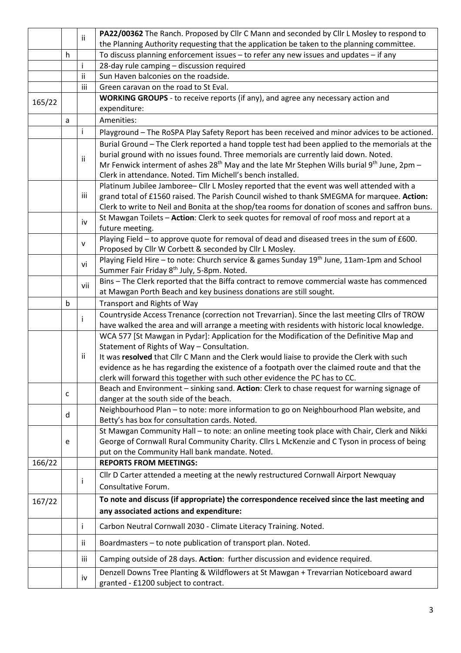|                                         |                                                                                                     | PA22/00362 The Ranch. Proposed by Cllr C Mann and seconded by Cllr L Mosley to respond to                                                                                                    |  |  |  |  |
|-----------------------------------------|-----------------------------------------------------------------------------------------------------|----------------------------------------------------------------------------------------------------------------------------------------------------------------------------------------------|--|--|--|--|
|                                         |                                                                                                     | the Planning Authority requesting that the application be taken to the planning committee.                                                                                                   |  |  |  |  |
| h                                       |                                                                                                     | To discuss planning enforcement issues - to refer any new issues and updates - if any                                                                                                        |  |  |  |  |
|                                         | i                                                                                                   | 28-day rule camping - discussion required                                                                                                                                                    |  |  |  |  |
|                                         | ii                                                                                                  | Sun Haven balconies on the roadside.                                                                                                                                                         |  |  |  |  |
|                                         | iii                                                                                                 | Green caravan on the road to St Eval.                                                                                                                                                        |  |  |  |  |
|                                         |                                                                                                     | <b>WORKING GROUPS</b> - to receive reports (if any), and agree any necessary action and                                                                                                      |  |  |  |  |
|                                         |                                                                                                     | expenditure:                                                                                                                                                                                 |  |  |  |  |
| a                                       |                                                                                                     | Amenities:                                                                                                                                                                                   |  |  |  |  |
|                                         | i.<br>Playground - The RoSPA Play Safety Report has been received and minor advices to be actioned. |                                                                                                                                                                                              |  |  |  |  |
|                                         |                                                                                                     | Burial Ground - The Clerk reported a hand topple test had been applied to the memorials at the                                                                                               |  |  |  |  |
|                                         |                                                                                                     | burial ground with no issues found. Three memorials are currently laid down. Noted.                                                                                                          |  |  |  |  |
|                                         |                                                                                                     | Mr Fenwick interment of ashes $28th$ May and the late Mr Stephen Wills burial $9th$ June, 2pm –                                                                                              |  |  |  |  |
|                                         |                                                                                                     | Clerk in attendance. Noted. Tim Michell's bench installed.                                                                                                                                   |  |  |  |  |
|                                         |                                                                                                     | Platinum Jubilee Jamboree- Cllr L Mosley reported that the event was well attended with a                                                                                                    |  |  |  |  |
|                                         | iii                                                                                                 | grand total of £1560 raised. The Parish Council wished to thank SMEGMA for marquee. Action:                                                                                                  |  |  |  |  |
|                                         |                                                                                                     | Clerk to write to Neil and Bonita at the shop/tea rooms for donation of scones and saffron buns.                                                                                             |  |  |  |  |
|                                         |                                                                                                     | St Mawgan Toilets - Action: Clerk to seek quotes for removal of roof moss and report at a                                                                                                    |  |  |  |  |
|                                         |                                                                                                     | future meeting.                                                                                                                                                                              |  |  |  |  |
|                                         |                                                                                                     | Playing Field - to approve quote for removal of dead and diseased trees in the sum of £600.                                                                                                  |  |  |  |  |
|                                         |                                                                                                     | Proposed by Cllr W Corbett & seconded by Cllr L Mosley.                                                                                                                                      |  |  |  |  |
|                                         |                                                                                                     | Playing Field Hire - to note: Church service & games Sunday 19 <sup>th</sup> June, 11am-1pm and School                                                                                       |  |  |  |  |
|                                         |                                                                                                     | Summer Fair Friday 8 <sup>th</sup> July, 5-8pm. Noted.                                                                                                                                       |  |  |  |  |
|                                         |                                                                                                     | Bins - The Clerk reported that the Biffa contract to remove commercial waste has commenced                                                                                                   |  |  |  |  |
|                                         |                                                                                                     | at Mawgan Porth Beach and key business donations are still sought.                                                                                                                           |  |  |  |  |
| b                                       |                                                                                                     | Transport and Rights of Way                                                                                                                                                                  |  |  |  |  |
|                                         |                                                                                                     | Countryside Access Trenance (correction not Trevarrian). Since the last meeting Cllrs of TROW                                                                                                |  |  |  |  |
|                                         |                                                                                                     | have walked the area and will arrange a meeting with residents with historic local knowledge.                                                                                                |  |  |  |  |
|                                         |                                                                                                     | WCA 577 [St Mawgan in Pydar]: Application for the Modification of the Definitive Map and                                                                                                     |  |  |  |  |
|                                         |                                                                                                     | Statement of Rights of Way - Consultation.                                                                                                                                                   |  |  |  |  |
|                                         |                                                                                                     | It was resolved that Cllr C Mann and the Clerk would liaise to provide the Clerk with such                                                                                                   |  |  |  |  |
|                                         |                                                                                                     | evidence as he has regarding the existence of a footpath over the claimed route and that the                                                                                                 |  |  |  |  |
|                                         |                                                                                                     | clerk will forward this together with such other evidence the PC has to CC.                                                                                                                  |  |  |  |  |
| c                                       |                                                                                                     | Beach and Environment - sinking sand. Action: Clerk to chase request for warning signage of                                                                                                  |  |  |  |  |
|                                         |                                                                                                     | danger at the south side of the beach.                                                                                                                                                       |  |  |  |  |
| d                                       |                                                                                                     | Neighbourhood Plan - to note: more information to go on Neighbourhood Plan website, and                                                                                                      |  |  |  |  |
|                                         |                                                                                                     | Betty's has box for consultation cards. Noted.                                                                                                                                               |  |  |  |  |
|                                         |                                                                                                     | St Mawgan Community Hall - to note: an online meeting took place with Chair, Clerk and Nikki<br>George of Cornwall Rural Community Charity. Cllrs L McKenzie and C Tyson in process of being |  |  |  |  |
|                                         |                                                                                                     | put on the Community Hall bank mandate. Noted.                                                                                                                                               |  |  |  |  |
|                                         |                                                                                                     | <b>REPORTS FROM MEETINGS:</b>                                                                                                                                                                |  |  |  |  |
|                                         |                                                                                                     | Cllr D Carter attended a meeting at the newly restructured Cornwall Airport Newquay                                                                                                          |  |  |  |  |
|                                         | ı                                                                                                   |                                                                                                                                                                                              |  |  |  |  |
|                                         |                                                                                                     | Consultative Forum.                                                                                                                                                                          |  |  |  |  |
|                                         |                                                                                                     | To note and discuss (if appropriate) the correspondence received since the last meeting and                                                                                                  |  |  |  |  |
| any associated actions and expenditure: |                                                                                                     |                                                                                                                                                                                              |  |  |  |  |
|                                         | Ť                                                                                                   | Carbon Neutral Cornwall 2030 - Climate Literacy Training. Noted.                                                                                                                             |  |  |  |  |
|                                         | ii                                                                                                  | Boardmasters - to note publication of transport plan. Noted.                                                                                                                                 |  |  |  |  |
|                                         |                                                                                                     | Camping outside of 28 days. Action: further discussion and evidence required.                                                                                                                |  |  |  |  |
|                                         |                                                                                                     |                                                                                                                                                                                              |  |  |  |  |
|                                         | e                                                                                                   | ii<br>ii<br>iv<br>$\mathsf{v}$<br>vi<br>vii<br>Ť<br>Ϊİ<br>iii                                                                                                                                |  |  |  |  |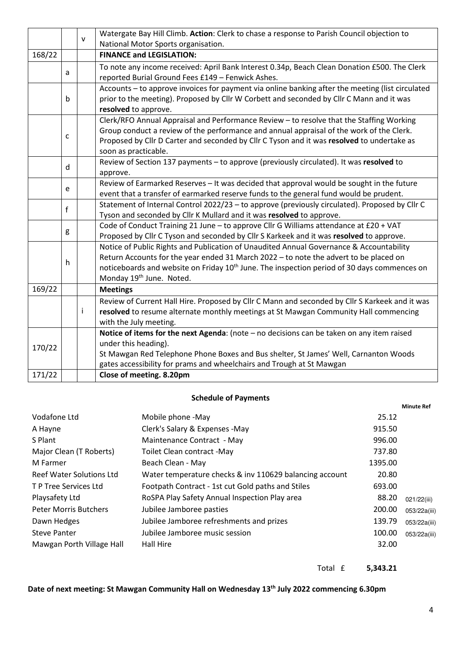|                                                                                                                                                                                                                                                                                                                                                                         |                                                                                                          | v  | Watergate Bay Hill Climb. Action: Clerk to chase a response to Parish Council objection to<br>National Motor Sports organisation.                                                                                                                                                                                       |  |   |  |
|-------------------------------------------------------------------------------------------------------------------------------------------------------------------------------------------------------------------------------------------------------------------------------------------------------------------------------------------------------------------------|----------------------------------------------------------------------------------------------------------|----|-------------------------------------------------------------------------------------------------------------------------------------------------------------------------------------------------------------------------------------------------------------------------------------------------------------------------|--|---|--|
| 168/22                                                                                                                                                                                                                                                                                                                                                                  |                                                                                                          |    | <b>FINANCE and LEGISLATION:</b>                                                                                                                                                                                                                                                                                         |  |   |  |
|                                                                                                                                                                                                                                                                                                                                                                         | a                                                                                                        |    | To note any income received: April Bank Interest 0.34p, Beach Clean Donation £500. The Clerk<br>reported Burial Ground Fees £149 - Fenwick Ashes.                                                                                                                                                                       |  |   |  |
|                                                                                                                                                                                                                                                                                                                                                                         | $\mathsf b$                                                                                              |    | Accounts - to approve invoices for payment via online banking after the meeting (list circulated<br>prior to the meeting). Proposed by Cllr W Corbett and seconded by Cllr C Mann and it was<br>resolved to approve.                                                                                                    |  |   |  |
| Clerk/RFO Annual Appraisal and Performance Review - to resolve that the Staffing Working<br>Group conduct a review of the performance and annual appraisal of the work of the Clerk.<br>c<br>Proposed by Cllr D Carter and seconded by Cllr C Tyson and it was resolved to undertake as<br>soon as practicable.                                                         |                                                                                                          |    |                                                                                                                                                                                                                                                                                                                         |  |   |  |
|                                                                                                                                                                                                                                                                                                                                                                         | Review of Section 137 payments - to approve (previously circulated). It was resolved to<br>d<br>approve. |    |                                                                                                                                                                                                                                                                                                                         |  |   |  |
| Review of Earmarked Reserves - It was decided that approval would be sought in the future<br>e<br>event that a transfer of earmarked reserve funds to the general fund would be prudent.<br>Statement of Internal Control 2022/23 - to approve (previously circulated). Proposed by ClIr C<br>f<br>Tyson and seconded by Cllr K Mullard and it was resolved to approve. |                                                                                                          |    |                                                                                                                                                                                                                                                                                                                         |  |   |  |
|                                                                                                                                                                                                                                                                                                                                                                         |                                                                                                          |    |                                                                                                                                                                                                                                                                                                                         |  | g |  |
|                                                                                                                                                                                                                                                                                                                                                                         | $\mathsf{h}$                                                                                             |    | Notice of Public Rights and Publication of Unaudited Annual Governance & Accountability<br>Return Accounts for the year ended 31 March 2022 - to note the advert to be placed on<br>noticeboards and website on Friday 10 <sup>th</sup> June. The inspection period of 30 days commences on<br>Monday 19th June. Noted. |  |   |  |
| 169/22                                                                                                                                                                                                                                                                                                                                                                  |                                                                                                          |    | <b>Meetings</b>                                                                                                                                                                                                                                                                                                         |  |   |  |
|                                                                                                                                                                                                                                                                                                                                                                         |                                                                                                          | j. | Review of Current Hall Hire. Proposed by Cllr C Mann and seconded by Cllr S Karkeek and it was<br>resolved to resume alternate monthly meetings at St Mawgan Community Hall commencing<br>with the July meeting.                                                                                                        |  |   |  |
| 170/22<br>171/22                                                                                                                                                                                                                                                                                                                                                        |                                                                                                          |    | Notice of items for the next Agenda: (note $-$ no decisions can be taken on any item raised<br>under this heading).<br>St Mawgan Red Telephone Phone Boxes and Bus shelter, St James' Well, Carnanton Woods<br>gates accessibility for prams and wheelchairs and Trough at St Mawgan<br>Close of meeting. 8.20pm        |  |   |  |
|                                                                                                                                                                                                                                                                                                                                                                         |                                                                                                          |    |                                                                                                                                                                                                                                                                                                                         |  |   |  |

#### **Schedule of Payments**

|                                 |                                                         |         | <b>Minute Ref</b> |
|---------------------------------|---------------------------------------------------------|---------|-------------------|
| Vodafone Ltd                    | Mobile phone -May                                       | 25.12   |                   |
| A Hayne                         | Clerk's Salary & Expenses -May                          | 915.50  |                   |
| S Plant                         | Maintenance Contract - May                              | 996.00  |                   |
| Major Clean (T Roberts)         | Toilet Clean contract -May                              | 737.80  |                   |
| M Farmer                        | Beach Clean - May                                       | 1395.00 |                   |
| <b>Reef Water Solutions Ltd</b> | Water temperature checks & inv 110629 balancing account | 20.80   |                   |
| T P Tree Services Ltd           | Footpath Contract - 1st cut Gold paths and Stiles       | 693.00  |                   |
| Playsafety Ltd                  | RoSPA Play Safety Annual Inspection Play area           | 88.20   | 021/22(iii)       |
| <b>Peter Morris Butchers</b>    | Jubilee Jamboree pasties                                | 200.00  | 053/22a(iii)      |
| Dawn Hedges                     | Jubilee Jamboree refreshments and prizes                | 139.79  | 053/22a(iii)      |
| <b>Steve Panter</b>             | Jubilee Jamboree music session                          | 100.00  | 053/22a(iii)      |
| Mawgan Porth Village Hall       | Hall Hire                                               | 32.00   |                   |
|                                 |                                                         |         |                   |

Total £ **5,343.21** 

## **Date of next meeting: St Mawgan Community Hall on Wednesday 13th July 2022 commencing 6.30pm**